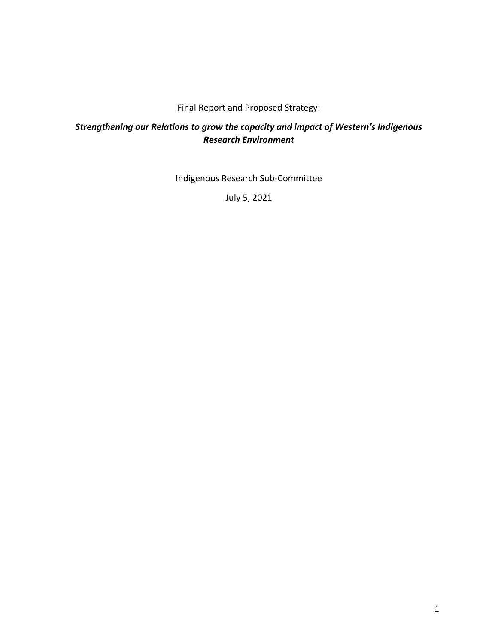#### Final Report and Proposed Strategy:

# *Strengthening our Relations to grow the capacity and impact of Western's Indigenous Research Environment*

Indigenous Research Sub-Committee

July 5, 2021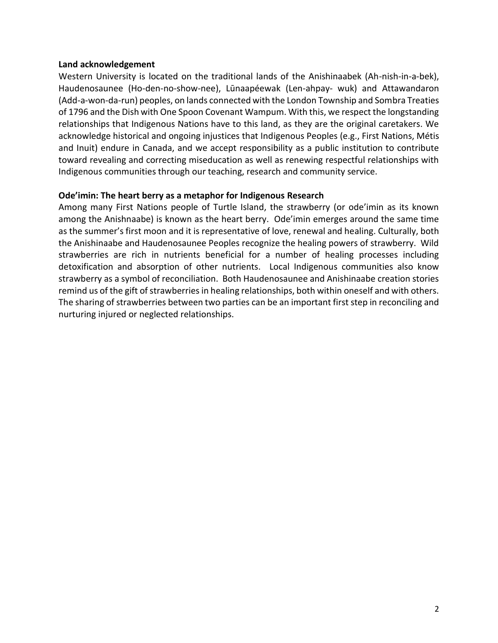#### **Land acknowledgement**

Western University is located on the traditional lands of the Anishinaabek (Ah-nish-in-a-bek), Haudenosaunee (Ho-den-no-show-nee), Lūnaapéewak (Len-ahpay- wuk) and Attawandaron (Add-a-won-da-run) peoples, on lands connected with the London Township and Sombra Treaties of 1796 and the Dish with One Spoon Covenant Wampum. With this, we respect the longstanding relationships that Indigenous Nations have to this land, as they are the original caretakers. We acknowledge historical and ongoing injustices that Indigenous Peoples (e.g., First Nations, Métis and Inuit) endure in Canada, and we accept responsibility as a public institution to contribute toward revealing and correcting miseducation as well as renewing respectful relationships with Indigenous communities through our teaching, research and community service.

#### **Ode'imin: The heart berry as a metaphor for Indigenous Research**

Among many First Nations people of Turtle Island, the strawberry (or ode'imin as its known among the Anishnaabe) is known as the heart berry. Ode'imin emerges around the same time as the summer's first moon and it is representative of love, renewal and healing. Culturally, both the Anishinaabe and Haudenosaunee Peoples recognize the healing powers of strawberry. Wild strawberries are rich in nutrients beneficial for a number of healing processes including detoxification and absorption of other nutrients. Local Indigenous communities also know strawberry as a symbol of reconciliation. Both Haudenosaunee and Anishinaabe creation stories remind us of the gift of strawberries in healing relationships, both within oneself and with others. The sharing of strawberries between two parties can be an important first step in reconciling and nurturing injured or neglected relationships.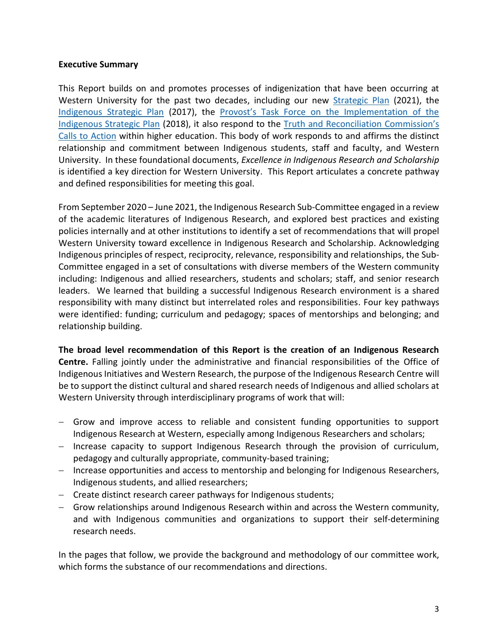#### **Executive Summary**

This Report builds on and promotes processes of indigenization that have been occurring at Western University for the past two decades, including our new [Strategic Plan](https://president.uwo.ca/strategicplan2021/index.html) (2021), the [Indigenous Strategic Plan](https://indigenous.uwo.ca/initiatives/docs/Indigenous-Strat-Plan---Final.pdf) (2017), the Provost['s Task Force on the Implementation of the](https://provost.uwo.ca/pdf/ISP_TF_Final_Report.pdf)  [Indigenous Strategic Plan](https://provost.uwo.ca/pdf/ISP_TF_Final_Report.pdf) (2018), it also respond to the [Truth and Reconciliation Commission's](http://trc.ca/assets/pdf/Calls_to_Action_English2.pdf)  [Calls to Action](http://trc.ca/assets/pdf/Calls_to_Action_English2.pdf) within higher education. This body of work responds to and affirms the distinct relationship and commitment between Indigenous students, staff and faculty, and Western University. In these foundational documents, *Excellence in Indigenous Research and Scholarship* is identified a key direction for Western University. This Report articulates a concrete pathway and defined responsibilities for meeting this goal.

From September 2020 – June 2021, the Indigenous Research Sub-Committee engaged in a review of the academic literatures of Indigenous Research, and explored best practices and existing policies internally and at other institutions to identify a set of recommendations that will propel Western University toward excellence in Indigenous Research and Scholarship. Acknowledging Indigenous principles of respect, reciprocity, relevance, responsibility and relationships, the Sub-Committee engaged in a set of consultations with diverse members of the Western community including: Indigenous and allied researchers, students and scholars; staff, and senior research leaders. We learned that building a successful Indigenous Research environment is a shared responsibility with many distinct but interrelated roles and responsibilities. Four key pathways were identified: funding; curriculum and pedagogy; spaces of mentorships and belonging; and relationship building.

**The broad level recommendation of this Report is the creation of an Indigenous Research Centre.** Falling jointly under the administrative and financial responsibilities of the Office of Indigenous Initiatives and Western Research, the purpose of the Indigenous Research Centre will be to support the distinct cultural and shared research needs of Indigenous and allied scholars at Western University through interdisciplinary programs of work that will:

- − Grow and improve access to reliable and consistent funding opportunities to support Indigenous Research at Western, especially among Indigenous Researchers and scholars;
- − Increase capacity to support Indigenous Research through the provision of curriculum, pedagogy and culturally appropriate, community-based training;
- − Increase opportunities and access to mentorship and belonging for Indigenous Researchers, Indigenous students, and allied researchers;
- − Create distinct research career pathways for Indigenous students;
- − Grow relationships around Indigenous Research within and across the Western community, and with Indigenous communities and organizations to support their self-determining research needs.

In the pages that follow, we provide the background and methodology of our committee work, which forms the substance of our recommendations and directions.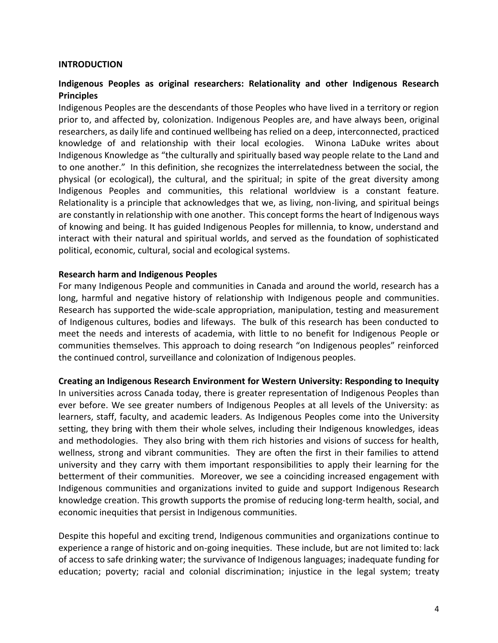#### **INTRODUCTION**

#### **Indigenous Peoples as original researchers: Relationality and other Indigenous Research Principles**

Indigenous Peoples are the descendants of those Peoples who have lived in a territory or region prior to, and affected by, colonization. Indigenous Peoples are, and have always been, original researchers, as daily life and continued wellbeing has relied on a deep, interconnected, practiced knowledge of and relationship with their local ecologies. Winona LaDuke writes about Indigenous Knowledge as "the culturally and spiritually based way people relate to the Land and to one another." In this definition, she recognizes the interrelatedness between the social, the physical (or ecological), the cultural, and the spiritual; in spite of the great diversity among Indigenous Peoples and communities, this relational worldview is a constant feature. Relationality is a principle that acknowledges that we, as living, non-living, and spiritual beings are constantly in relationship with one another. This concept forms the heart of Indigenous ways of knowing and being. It has guided Indigenous Peoples for millennia, to know, understand and interact with their natural and spiritual worlds, and served as the foundation of sophisticated political, economic, cultural, social and ecological systems.

#### **Research harm and Indigenous Peoples**

For many Indigenous People and communities in Canada and around the world, research has a long, harmful and negative history of relationship with Indigenous people and communities. Research has supported the wide-scale appropriation, manipulation, testing and measurement of Indigenous cultures, bodies and lifeways. The bulk of this research has been conducted to meet the needs and interests of academia, with little to no benefit for Indigenous People or communities themselves. This approach to doing research "on Indigenous peoples" reinforced the continued control, surveillance and colonization of Indigenous peoples.

#### **Creating an Indigenous Research Environment for Western University: Responding to Inequity**

In universities across Canada today, there is greater representation of Indigenous Peoples than ever before. We see greater numbers of Indigenous Peoples at all levels of the University: as learners, staff, faculty, and academic leaders. As Indigenous Peoples come into the University setting, they bring with them their whole selves, including their Indigenous knowledges, ideas and methodologies. They also bring with them rich histories and visions of success for health, wellness, strong and vibrant communities. They are often the first in their families to attend university and they carry with them important responsibilities to apply their learning for the betterment of their communities. Moreover, we see a coinciding increased engagement with Indigenous communities and organizations invited to guide and support Indigenous Research knowledge creation. This growth supports the promise of reducing long-term health, social, and economic inequities that persist in Indigenous communities.

Despite this hopeful and exciting trend, Indigenous communities and organizations continue to experience a range of historic and on-going inequities. These include, but are not limited to: lack of access to safe drinking water; the survivance of Indigenous languages; inadequate funding for education; poverty; racial and colonial discrimination; injustice in the legal system; treaty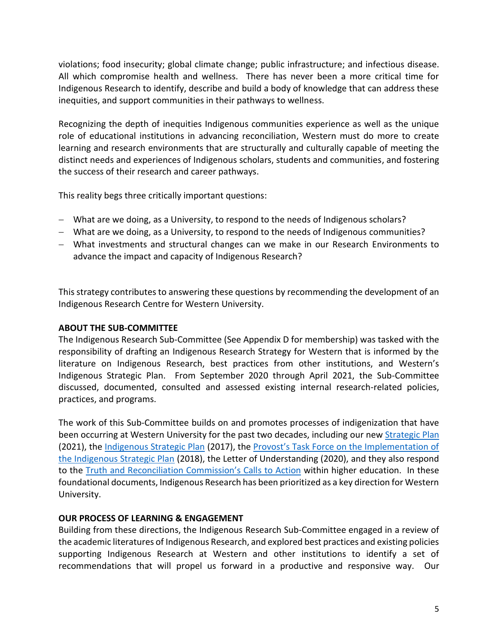violations; food insecurity; global climate change; public infrastructure; and infectious disease. All which compromise health and wellness. There has never been a more critical time for Indigenous Research to identify, describe and build a body of knowledge that can address these inequities, and support communities in their pathways to wellness.

Recognizing the depth of inequities Indigenous communities experience as well as the unique role of educational institutions in advancing reconciliation, Western must do more to create learning and research environments that are structurally and culturally capable of meeting the distinct needs and experiences of Indigenous scholars, students and communities, and fostering the success of their research and career pathways.

This reality begs three critically important questions:

- − What are we doing, as a University, to respond to the needs of Indigenous scholars?
- − What are we doing, as a University, to respond to the needs of Indigenous communities?
- − What investments and structural changes can we make in our Research Environments to advance the impact and capacity of Indigenous Research?

This strategy contributes to answering these questions by recommending the development of an Indigenous Research Centre for Western University.

## **ABOUT THE SUB-COMMITTEE**

The Indigenous Research Sub-Committee (See Appendix D for membership) was tasked with the responsibility of drafting an Indigenous Research Strategy for Western that is informed by the literature on Indigenous Research, best practices from other institutions, and Western's Indigenous Strategic Plan. From September 2020 through April 2021, the Sub-Committee discussed, documented, consulted and assessed existing internal research-related policies, practices, and programs.

The work of this Sub-Committee builds on and promotes processes of indigenization that have been occurring at Western University for the past two decades, including our new [Strategic Plan](https://president.uwo.ca/strategicplan2021/index.html) (2021), the [Indigenous Strategic Plan](https://indigenous.uwo.ca/initiatives/docs/Indigenous-Strat-Plan---Final.pdf) (2017), the Provo[st's Task Force on the Implementation of](https://provost.uwo.ca/pdf/ISP_TF_Final_Report.pdf)  [the Indigenous Strategic Plan](https://provost.uwo.ca/pdf/ISP_TF_Final_Report.pdf) (2018), the Letter of Understanding (2020), and they also respond to the [Truth and Reconciliation Commission's Call](http://trc.ca/assets/pdf/Calls_to_Action_English2.pdf)s to Action within higher education. In these foundational documents, Indigenous Research has been prioritized as a key direction for Western University.

## **OUR PROCESS OF LEARNING & ENGAGEMENT**

Building from these directions, the Indigenous Research Sub-Committee engaged in a review of the academic literatures of Indigenous Research, and explored best practices and existing policies supporting Indigenous Research at Western and other institutions to identify a set of recommendations that will propel us forward in a productive and responsive way. Our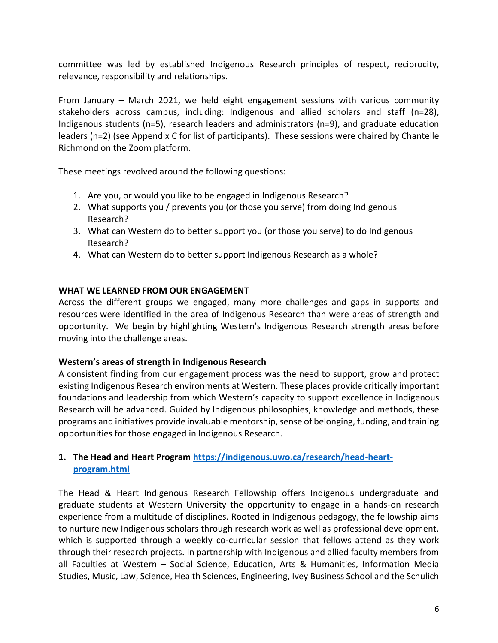committee was led by established Indigenous Research principles of respect, reciprocity, relevance, responsibility and relationships.

From January – March 2021, we held eight engagement sessions with various community stakeholders across campus, including: Indigenous and allied scholars and staff (n=28), Indigenous students (n=5), research leaders and administrators (n=9), and graduate education leaders (n=2) (see Appendix C for list of participants). These sessions were chaired by Chantelle Richmond on the Zoom platform.

These meetings revolved around the following questions:

- 1. Are you, or would you like to be engaged in Indigenous Research?
- 2. What supports you / prevents you (or those you serve) from doing Indigenous Research?
- 3. What can Western do to better support you (or those you serve) to do Indigenous Research?
- 4. What can Western do to better support Indigenous Research as a whole?

## **WHAT WE LEARNED FROM OUR ENGAGEMENT**

Across the different groups we engaged, many more challenges and gaps in supports and resources were identified in the area of Indigenous Research than were areas of strength and opportunity. We begin by highlighting Western's Indigenous Research strength areas before moving into the challenge areas.

## **Western's areas of strength in Indigenous Research**

A consistent finding from our engagement process was the need to support, grow and protect existing Indigenous Research environments at Western. These places provide critically important foundations and leadership from which Western's capacity to support excellence in Indigenous Research will be advanced. Guided by Indigenous philosophies, knowledge and methods, these programs and initiatives provide invaluable mentorship, sense of belonging, funding, and training opportunities for those engaged in Indigenous Research.

## **1. The Head and Heart Program [https://indigenous.uwo.ca/research/head-heart](https://indigenous.uwo.ca/research/head-heart-program.html)[program.html](https://indigenous.uwo.ca/research/head-heart-program.html)**

The Head & Heart Indigenous Research Fellowship offers Indigenous undergraduate and graduate students at Western University the opportunity to engage in a hands-on research experience from a multitude of disciplines. Rooted in Indigenous pedagogy, the fellowship aims to nurture new Indigenous scholars through research work as well as professional development, which is supported through a weekly co-curricular session that fellows attend as they work through their research projects. In partnership with Indigenous and allied faculty members from all Faculties at Western – Social Science, Education, Arts & Humanities, Information Media Studies, Music, Law, Science, Health Sciences, Engineering, Ivey Business School and the Schulich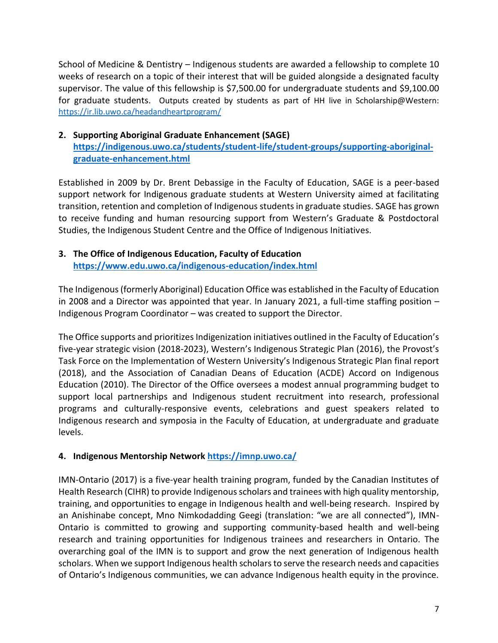School of Medicine & Dentistry – Indigenous students are awarded a fellowship to complete 10 weeks of research on a topic of their interest that will be guided alongside a designated faculty supervisor. The value of this fellowship is \$7,500.00 for undergraduate students and \$9,100.00 for graduate students. Outputs created by students as part of HH live in Scholarship@Western: <https://ir.lib.uwo.ca/headandheartprogram/>

## **2. Supporting Aboriginal Graduate Enhancement (SAGE)**  [https://indigenous.uwo.ca/students/student-life/student-groups/supporting-aboriginal](https://indigenous.uwo.ca/students/student-life/student-groups/supporting-aboriginal-graduate-enhancement.html)**[graduate-enhancement.html](https://indigenous.uwo.ca/students/student-life/student-groups/supporting-aboriginal-graduate-enhancement.html)**

Established in 2009 by Dr. Brent Debassige in the Faculty of Education, SAGE is a peer-based support network for Indigenous graduate students at Western University aimed at facilitating transition, retention and completion of Indigenous students in graduate studies. SAGE has grown to receive funding and human resourcing support from Western's Graduate & Postdoctoral Studies, the Indigenous Student Centre and the Office of Indigenous Initiatives.

## **3. The Office of Indigenous Education, Faculty of Education <https://www.edu.uwo.ca/indigenous-education/index.html>**

The Indigenous (formerly Aboriginal) Education Office was established in the Faculty of Education in 2008 and a Director was appointed that year. In January 2021, a full-time staffing position – Indigenous Program Coordinator – was created to support the Director.

The Office supports and prioritizes Indigenization initiatives outlined in the Faculty of Education's five-year strategic vision (2018-2023), Western's Indigenous Strategic Plan (2016), the Provost's Task Force on the Implementation of Western University's Indigenous Strategic Plan final report (2018), and the Association of Canadian Deans of Education (ACDE) Accord on Indigenous Education (2010). The Director of the Office oversees a modest annual programming budget to support local partnerships and Indigenous student recruitment into research, professional programs and culturally-responsive events, celebrations and guest speakers related to Indigenous research and symposia in the Faculty of Education, at undergraduate and graduate levels.

## **4. Indigenous Mentorship Network <https://imnp.uwo.ca/>**

IMN-Ontario (2017) is a five-year health training program, funded by the Canadian Institutes of Health Research (CIHR) to provide Indigenous scholars and trainees with high quality mentorship, training, and opportunities to engage in Indigenous health and well-being research. Inspired by an Anishinabe concept, Mno Nimkodadding Geegi (translation: "we are all connected"), IMN-Ontario is committed to growing and supporting community-based health and well-being research and training opportunities for Indigenous trainees and researchers in Ontario. The overarching goal of the IMN is to support and grow the next generation of Indigenous health scholars. When we support Indigenous health scholars to serve the research needs and capacities of Ontario's Indigenous communities, we can advance Indigenous health equity in the province.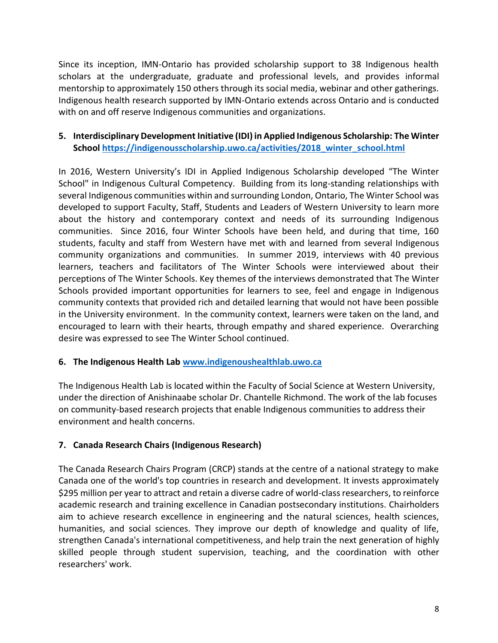Since its inception, IMN-Ontario has provided scholarship support to 38 Indigenous health scholars at the undergraduate, graduate and professional levels, and provides informal mentorship to approximately 150 others through its social media, webinar and other gatherings. Indigenous health research supported by IMN-Ontario extends across Ontario and is conducted with on and off reserve Indigenous communities and organizations.

## **5. Interdisciplinary Development Initiative (IDI) in Applied Indigenous Scholarship: The Winter School [https://indigenousscholarship.uwo.ca/activities/2018\\_winter\\_school.html](https://indigenousscholarship.uwo.ca/activities/2018_winter_school.html)**

In 2016, Western University's IDI in Applied Indigenous Scholarship developed "The Winter School" in Indigenous Cultural Competency. Building from its long-standing relationships with several Indigenous communities within and surrounding London, Ontario, The Winter School was developed to support Faculty, Staff, Students and Leaders of Western University to learn more about the history and contemporary context and needs of its surrounding Indigenous communities. Since 2016, four Winter Schools have been held, and during that time, 160 students, faculty and staff from Western have met with and learned from several Indigenous community organizations and communities. In summer 2019, interviews with 40 previous learners, teachers and facilitators of The Winter Schools were interviewed about their perceptions of The Winter Schools. Key themes of the interviews demonstrated that The Winter Schools provided important opportunities for learners to see, feel and engage in Indigenous community contexts that provided rich and detailed learning that would not have been possible in the University environment. In the community context, learners were taken on the land, and encouraged to learn with their hearts, through empathy and shared experience. Overarching desire was expressed to see The Winter School continued.

## **6. The Indigenous Health Lab [www.indigenoushealthlab.uwo.ca](http://www.indigenoushealthlab.uwo.ca/)**

The Indigenous Health Lab is located within the Faculty of Social Science at Western University, under the direction of Anishinaabe scholar Dr. Chantelle Richmond. The work of the lab focuses on community-based research projects that enable Indigenous communities to address their environment and health concerns.

# **7. Canada Research Chairs (Indigenous Research)**

The Canada Research Chairs Program (CRCP) stands at the centre of a national strategy to make Canada one of the world's top countries in research and development. It invests approximately \$295 million per year to attract and retain a diverse cadre of world-class researchers, to reinforce academic research and training excellence in Canadian postsecondary institutions. Chairholders aim to achieve research excellence in engineering and the natural sciences, health sciences, humanities, and social sciences. They improve our depth of knowledge and quality of life, strengthen Canada's international competitiveness, and help train the next generation of highly skilled people through student supervision, teaching, and the coordination with other researchers' work.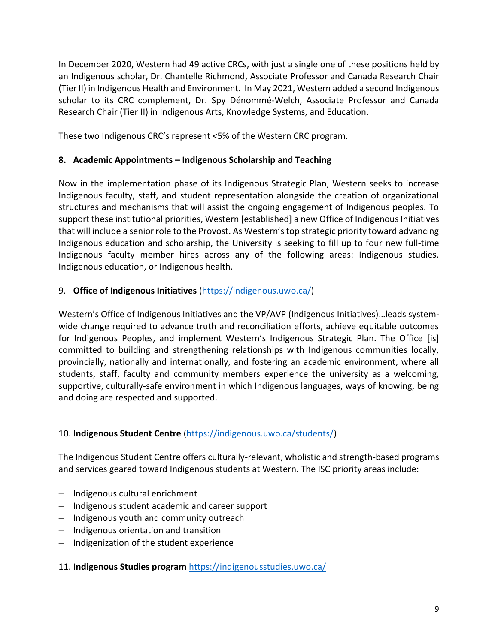In December 2020, Western had 49 active CRCs, with just a single one of these positions held by an Indigenous scholar, Dr. Chantelle Richmond, Associate Professor and Canada Research Chair (Tier II) in Indigenous Health and Environment. In May 2021, Western added a second Indigenous scholar to its CRC complement, Dr. Spy Dénommé-Welch, Associate Professor and Canada Research Chair (Tier II) in Indigenous Arts, Knowledge Systems, and Education.

These two Indigenous CRC's represent <5% of the Western CRC program.

## **8. Academic Appointments – Indigenous Scholarship and Teaching**

Now in the implementation phase of its Indigenous Strategic Plan, Western seeks to increase Indigenous faculty, staff, and student representation alongside the creation of organizational structures and mechanisms that will assist the ongoing engagement of Indigenous peoples. To support these institutional priorities, Western [established] a new Office of Indigenous Initiatives that will include a senior role to the Provost. As Western's top strategic priority toward advancing Indigenous education and scholarship, the University is seeking to fill up to four new full-time Indigenous faculty member hires across any of the following areas: Indigenous studies, Indigenous education, or Indigenous health.

## 9. **Office of Indigenous Initiatives** [\(https://indigenous.uwo.ca/\)](https://indigenous.uwo.ca/)

Western's Office of Indigenous Initiatives and the VP/AVP (Indigenous Initiatives)…leads systemwide change required to advance truth and reconciliation efforts, achieve equitable outcomes for Indigenous Peoples, and implement Western's Indigenous Strategic Plan. The Office [is] committed to building and strengthening relationships with Indigenous communities locally, provincially, nationally and internationally, and fostering an academic environment, where all students, staff, faculty and community members experience the university as a welcoming, supportive, culturally-safe environment in which Indigenous languages, ways of knowing, being and doing are respected and supported.

# 10. **Indigenous Student Centre** [\(https://indigenous.uwo.ca/students/\)](https://indigenous.uwo.ca/students/)

The Indigenous Student Centre offers culturally-relevant, wholistic and strength-based programs and services geared toward Indigenous students at Western. The ISC priority areas include:

- − Indigenous cultural enrichment
- − Indigenous student academic and career support
- − Indigenous youth and community outreach
- − Indigenous orientation and transition
- − Indigenization of the student experience

11. **Indigenous Studies program** <https://indigenousstudies.uwo.ca/>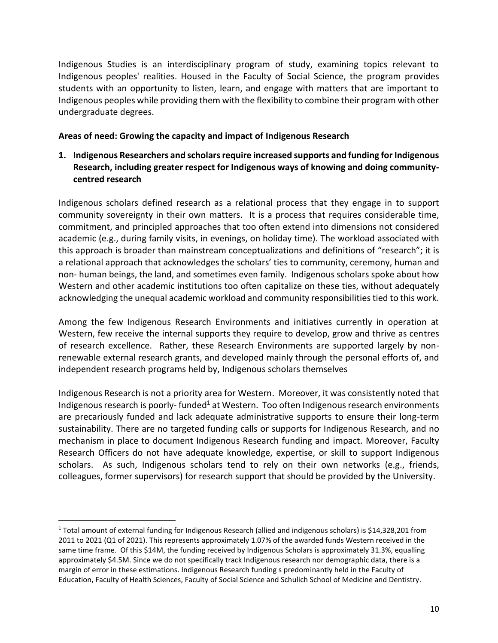Indigenous Studies is an interdisciplinary program of study, examining topics relevant to Indigenous peoples' realities. Housed in the Faculty of Social Science, the program provides students with an opportunity to listen, learn, and engage with matters that are important to Indigenous peoples while providing them with the flexibility to combine their program with other undergraduate degrees.

#### **Areas of need: Growing the capacity and impact of Indigenous Research**

**1. Indigenous Researchers and scholars require increased supports and funding for Indigenous Research, including greater respect for Indigenous ways of knowing and doing communitycentred research**

Indigenous scholars defined research as a relational process that they engage in to support community sovereignty in their own matters. It is a process that requires considerable time, commitment, and principled approaches that too often extend into dimensions not considered academic (e.g., during family visits, in evenings, on holiday time). The workload associated with this approach is broader than mainstream conceptualizations and definitions of "research"; it is a relational approach that acknowledges the scholars' ties to community, ceremony, human and non- human beings, the land, and sometimes even family. Indigenous scholars spoke about how Western and other academic institutions too often capitalize on these ties, without adequately acknowledging the unequal academic workload and community responsibilities tied to this work.

Among the few Indigenous Research Environments and initiatives currently in operation at Western, few receive the internal supports they require to develop, grow and thrive as centres of research excellence. Rather, these Research Environments are supported largely by nonrenewable external research grants, and developed mainly through the personal efforts of, and independent research programs held by, Indigenous scholars themselves

Indigenous Research is not a priority area for Western. Moreover, it was consistently noted that Indigenous research is poorly- funded<sup>1</sup> at Western. Too often Indigenous research environments are precariously funded and lack adequate administrative supports to ensure their long-term sustainability. There are no targeted funding calls or supports for Indigenous Research, and no mechanism in place to document Indigenous Research funding and impact. Moreover, Faculty Research Officers do not have adequate knowledge, expertise, or skill to support Indigenous scholars. As such, Indigenous scholars tend to rely on their own networks (e.g., friends, colleagues, former supervisors) for research support that should be provided by the University.

<sup>1</sup> Total amount of external funding for Indigenous Research (allied and indigenous scholars) is \$14,328,201 from 2011 to 2021 (Q1 of 2021). This represents approximately 1.07% of the awarded funds Western received in the same time frame. Of this \$14M, the funding received by Indigenous Scholars is approximately 31.3%, equalling approximately \$4.5M. Since we do not specifically track Indigenous research nor demographic data, there is a margin of error in these estimations. Indigenous Research funding s predominantly held in the Faculty of Education, Faculty of Health Sciences, Faculty of Social Science and Schulich School of Medicine and Dentistry.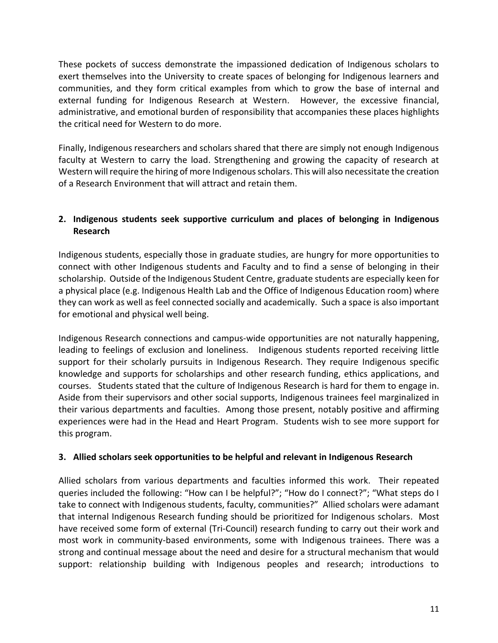These pockets of success demonstrate the impassioned dedication of Indigenous scholars to exert themselves into the University to create spaces of belonging for Indigenous learners and communities, and they form critical examples from which to grow the base of internal and external funding for Indigenous Research at Western. However, the excessive financial, administrative, and emotional burden of responsibility that accompanies these places highlights the critical need for Western to do more.

Finally, Indigenous researchers and scholars shared that there are simply not enough Indigenous faculty at Western to carry the load. Strengthening and growing the capacity of research at Western will require the hiring of more Indigenous scholars. This will also necessitate the creation of a Research Environment that will attract and retain them.

# **2. Indigenous students seek supportive curriculum and places of belonging in Indigenous Research**

Indigenous students, especially those in graduate studies, are hungry for more opportunities to connect with other Indigenous students and Faculty and to find a sense of belonging in their scholarship. Outside of the Indigenous Student Centre, graduate students are especially keen for a physical place (e.g. Indigenous Health Lab and the Office of Indigenous Education room) where they can work as well as feel connected socially and academically. Such a space is also important for emotional and physical well being.

Indigenous Research connections and campus-wide opportunities are not naturally happening, leading to feelings of exclusion and loneliness. Indigenous students reported receiving little support for their scholarly pursuits in Indigenous Research. They require Indigenous specific knowledge and supports for scholarships and other research funding, ethics applications, and courses. Students stated that the culture of Indigenous Research is hard for them to engage in. Aside from their supervisors and other social supports, Indigenous trainees feel marginalized in their various departments and faculties. Among those present, notably positive and affirming experiences were had in the Head and Heart Program. Students wish to see more support for this program.

## **3. Allied scholars seek opportunities to be helpful and relevant in Indigenous Research**

Allied scholars from various departments and faculties informed this work. Their repeated queries included the following: "How can I be helpful?"; "How do I connect?"; "What steps do I take to connect with Indigenous students, faculty, communities?" Allied scholars were adamant that internal Indigenous Research funding should be prioritized for Indigenous scholars. Most have received some form of external (Tri-Council) research funding to carry out their work and most work in community-based environments, some with Indigenous trainees. There was a strong and continual message about the need and desire for a structural mechanism that would support: relationship building with Indigenous peoples and research; introductions to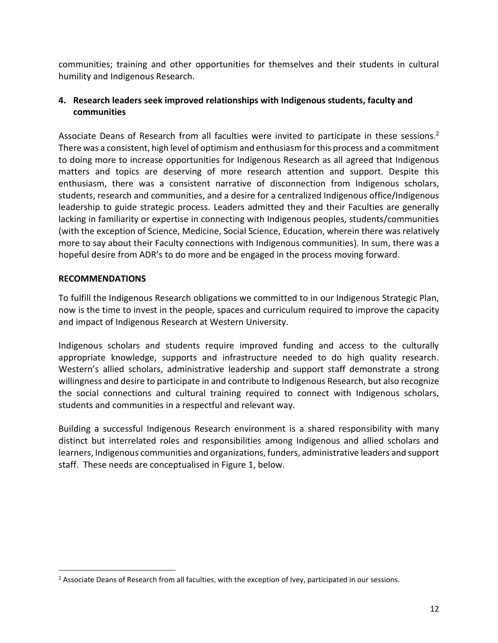communities; training and other opportunities for themselves and their students in cultural humility and Indigenous Research.

# **4. Research leaders seek improved relationships with Indigenous students, faculty and communities**

Associate Deans of Research from all faculties were invited to participate in these sessions.<sup>2</sup> There was a consistent, high level of optimism and enthusiasm for this process and a commitment to doing more to increase opportunities for Indigenous Research as all agreed that Indigenous matters and topics are deserving of more research attention and support. Despite this enthusiasm, there was a consistent narrative of disconnection from Indigenous scholars, students, research and communities, and a desire for a centralized Indigenous office/Indigenous leadership to guide strategic process. Leaders admitted they and their Faculties are generally lacking in familiarity or expertise in connecting with Indigenous peoples, students/communities (with the exception of Science, Medicine, Social Science, Education, wherein there was relatively more to say about their Faculty connections with Indigenous communities). In sum, there was a hopeful desire from ADR's to do more and be engaged in the process moving forward.

## **RECOMMENDATIONS**

To fulfill the Indigenous Research obligations we committed to in our Indigenous Strategic Plan, now is the time to invest in the people, spaces and curriculum required to improve the capacity and impact of Indigenous Research at Western University.

Indigenous scholars and students require improved funding and access to the culturally appropriate knowledge, supports and infrastructure needed to do high quality research. Western's allied scholars, administrative leadership and support staff demonstrate a strong willingness and desire to participate in and contribute to Indigenous Research, but also recognize the social connections and cultural training required to connect with Indigenous scholars, students and communities in a respectful and relevant way.

Building a successful Indigenous Research environment is a shared responsibility with many distinct but interrelated roles and responsibilities among Indigenous and allied scholars and learners, Indigenous communities and organizations, funders, administrative leaders and support staff. These needs are conceptualised in Figure 1, below.

<sup>&</sup>lt;sup>2</sup> Associate Deans of Research from all faculties, with the exception of Ivey, participated in our sessions.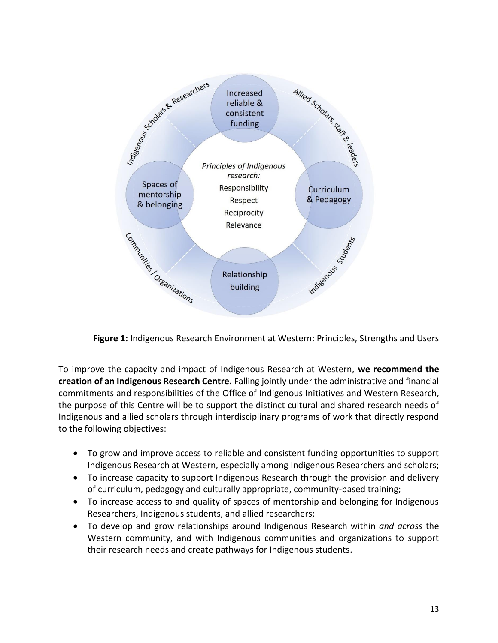

**Figure 1:** Indigenous Research Environment at Western: Principles, Strengths and Users

To improve the capacity and impact of Indigenous Research at Western, **we recommend the creation of an Indigenous Research Centre.** Falling jointly under the administrative and financial commitments and responsibilities of the Office of Indigenous Initiatives and Western Research, the purpose of this Centre will be to support the distinct cultural and shared research needs of Indigenous and allied scholars through interdisciplinary programs of work that directly respond to the following objectives:

- To grow and improve access to reliable and consistent funding opportunities to support Indigenous Research at Western, especially among Indigenous Researchers and scholars;
- To increase capacity to support Indigenous Research through the provision and delivery of curriculum, pedagogy and culturally appropriate, community-based training;
- To increase access to and quality of spaces of mentorship and belonging for Indigenous Researchers, Indigenous students, and allied researchers;
- To develop and grow relationships around Indigenous Research within *and across* the Western community, and with Indigenous communities and organizations to support their research needs and create pathways for Indigenous students.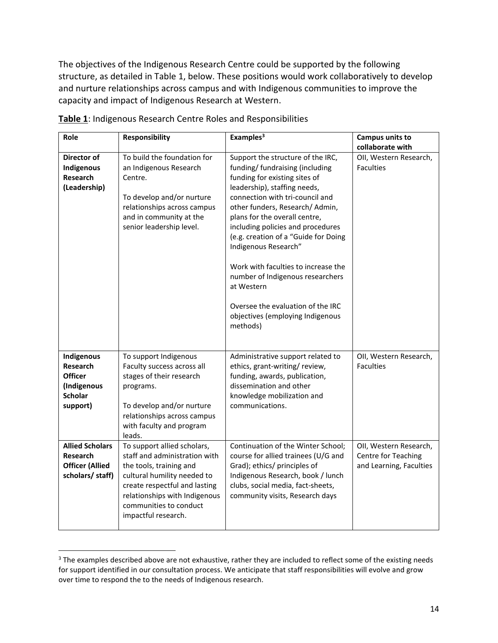The objectives of the Indigenous Research Centre could be supported by the following structure, as detailed in Table 1, below. These positions would work collaboratively to develop and nurture relationships across campus and with Indigenous communities to improve the capacity and impact of Indigenous Research at Western.

| Role                                                                                    | <b>Responsibility</b>                                                                                                                                                                                                                     | Examples <sup>3</sup>                                                                                                                                                                                                                                                                                                                                                                                                                                                                                                          | Campus units to<br>collaborate with                                             |
|-----------------------------------------------------------------------------------------|-------------------------------------------------------------------------------------------------------------------------------------------------------------------------------------------------------------------------------------------|--------------------------------------------------------------------------------------------------------------------------------------------------------------------------------------------------------------------------------------------------------------------------------------------------------------------------------------------------------------------------------------------------------------------------------------------------------------------------------------------------------------------------------|---------------------------------------------------------------------------------|
| Director of<br>Indigenous<br>Research<br>(Leadership)                                   | To build the foundation for<br>an Indigenous Research<br>Centre.<br>To develop and/or nurture<br>relationships across campus<br>and in community at the<br>senior leadership level.                                                       | Support the structure of the IRC,<br>funding/ fundraising (including<br>funding for existing sites of<br>leadership), staffing needs,<br>connection with tri-council and<br>other funders, Research/Admin,<br>plans for the overall centre,<br>including policies and procedures<br>(e.g. creation of a "Guide for Doing<br>Indigenous Research"<br>Work with faculties to increase the<br>number of Indigenous researchers<br>at Western<br>Oversee the evaluation of the IRC<br>objectives (employing Indigenous<br>methods) | OII, Western Research,<br><b>Faculties</b>                                      |
| Indigenous<br>Research<br><b>Officer</b><br>(Indigenous<br><b>Scholar</b><br>support)   | To support Indigenous<br>Faculty success across all<br>stages of their research<br>programs.<br>To develop and/or nurture<br>relationships across campus<br>with faculty and program<br>leads.                                            | Administrative support related to<br>ethics, grant-writing/review,<br>funding, awards, publication,<br>dissemination and other<br>knowledge mobilization and<br>communications.                                                                                                                                                                                                                                                                                                                                                | OII, Western Research,<br><b>Faculties</b>                                      |
| <b>Allied Scholars</b><br><b>Research</b><br><b>Officer (Allied</b><br>scholars/ staff) | To support allied scholars,<br>staff and administration with<br>the tools, training and<br>cultural humility needed to<br>create respectful and lasting<br>relationships with Indigenous<br>communities to conduct<br>impactful research. | Continuation of the Winter School;<br>course for allied trainees (U/G and<br>Grad); ethics/ principles of<br>Indigenous Research, book / lunch<br>clubs, social media, fact-sheets,<br>community visits, Research days                                                                                                                                                                                                                                                                                                         | OII, Western Research,<br><b>Centre for Teaching</b><br>and Learning, Faculties |

**Table 1**: Indigenous Research Centre Roles and Responsibilities

<sup>&</sup>lt;sup>3</sup> The examples described above are not exhaustive, rather they are included to reflect some of the existing needs for support identified in our consultation process. We anticipate that staff responsibilities will evolve and grow over time to respond the to the needs of Indigenous research.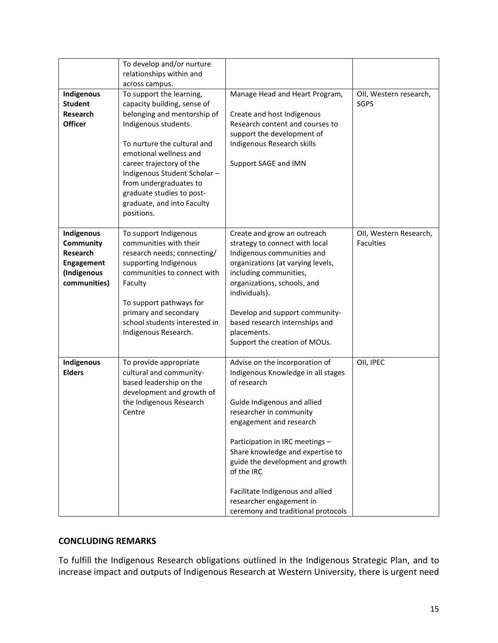|                                                                                  | To develop and/or nurture<br>relationships within and<br>across campus.                                                                                                                                                                                                                                                               |                                                                                                                                                                                                                                                                                                                                                                                                         |                                            |
|----------------------------------------------------------------------------------|---------------------------------------------------------------------------------------------------------------------------------------------------------------------------------------------------------------------------------------------------------------------------------------------------------------------------------------|---------------------------------------------------------------------------------------------------------------------------------------------------------------------------------------------------------------------------------------------------------------------------------------------------------------------------------------------------------------------------------------------------------|--------------------------------------------|
| Indigenous<br><b>Student</b><br><b>Research</b><br><b>Officer</b>                | To support the learning,<br>capacity building, sense of<br>belonging and mentorship of<br>Indigenous students.<br>To nurture the cultural and<br>emotional wellness and<br>career trajectory of the<br>Indigenous Student Scholar-<br>from undergraduates to<br>graduate studies to post-<br>graduate, and into Faculty<br>positions. | Manage Head and Heart Program,<br>Create and host Indigenous<br>Research content and courses to<br>support the development of<br>Indigenous Research skills<br>Support SAGE and IMN                                                                                                                                                                                                                     | OII, Western research,<br><b>SGPS</b>      |
| Indigenous<br>Community<br>Research<br>Engagement<br>(Indigenous<br>communities) | To support Indigenous<br>communities with their<br>research needs; connecting/<br>supporting Indigenous<br>communities to connect with<br>Faculty<br>To support pathways for<br>primary and secondary<br>school students interested in<br>Indigenous Research.                                                                        | Create and grow an outreach<br>strategy to connect with local<br>Indigenous communities and<br>organizations (at varying levels,<br>including communities,<br>organizations, schools, and<br>individuals).<br>Develop and support community-<br>based research internships and<br>placements.<br>Support the creation of MOUs.                                                                          | OII, Western Research,<br><b>Faculties</b> |
| Indigenous<br><b>Elders</b>                                                      | To provide appropriate<br>cultural and community-<br>based leadership on the<br>development and growth of<br>the Indigenous Research<br>Centre                                                                                                                                                                                        | Advise on the incorporation of<br>Indigenous Knowledge in all stages<br>of research<br>Guide Indigenous and allied<br>researcher in community<br>engagement and research<br>Participation in IRC meetings -<br>Share knowledge and expertise to<br>guide the development and growth<br>of the IRC<br>Facilitate Indigenous and allied<br>researcher engagement in<br>ceremony and traditional protocols | OII, IPEC                                  |

#### **CONCLUDING REMARKS**

To fulfill the Indigenous Research obligations outlined in the Indigenous Strategic Plan, and to increase impact and outputs of Indigenous Research at Western University, there is urgent need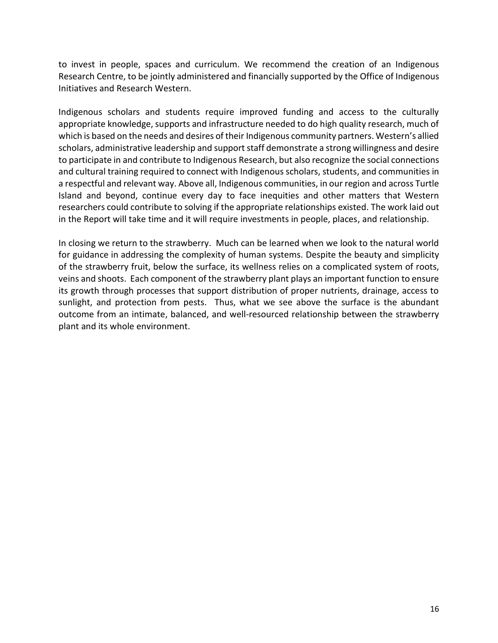to invest in people, spaces and curriculum. We recommend the creation of an Indigenous Research Centre, to be jointly administered and financially supported by the Office of Indigenous Initiatives and Research Western.

Indigenous scholars and students require improved funding and access to the culturally appropriate knowledge, supports and infrastructure needed to do high quality research, much of which is based on the needs and desires of their Indigenous community partners. Western's allied scholars, administrative leadership and support staff demonstrate a strong willingness and desire to participate in and contribute to Indigenous Research, but also recognize the social connections and cultural training required to connect with Indigenous scholars, students, and communities in a respectful and relevant way. Above all, Indigenous communities, in our region and across Turtle Island and beyond, continue every day to face inequities and other matters that Western researchers could contribute to solving if the appropriate relationships existed. The work laid out in the Report will take time and it will require investments in people, places, and relationship.

In closing we return to the strawberry. Much can be learned when we look to the natural world for guidance in addressing the complexity of human systems. Despite the beauty and simplicity of the strawberry fruit, below the surface, its wellness relies on a complicated system of roots, veins and shoots. Each component of the strawberry plant plays an important function to ensure its growth through processes that support distribution of proper nutrients, drainage, access to sunlight, and protection from pests. Thus, what we see above the surface is the abundant outcome from an intimate, balanced, and well-resourced relationship between the strawberry plant and its whole environment.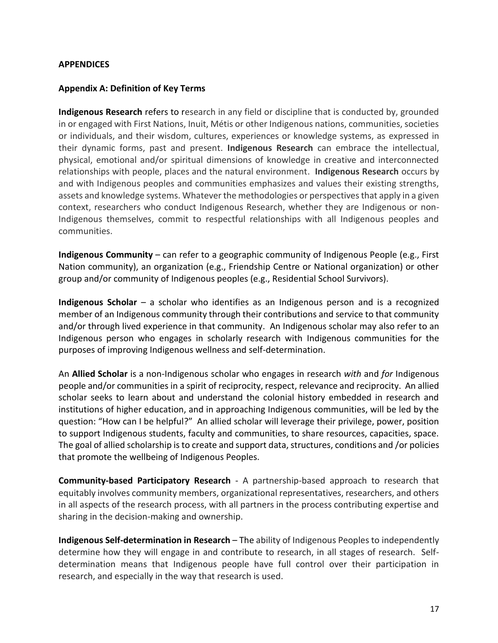#### **APPENDICES**

#### **Appendix A: Definition of Key Terms**

**Indigenous Research** refers to research in any field or discipline that is conducted by, grounded in or engaged with First Nations, Inuit, Métis or other Indigenous nations, communities, societies or individuals, and their wisdom, cultures, experiences or knowledge systems, as expressed in their dynamic forms, past and present. **Indigenous Research** can embrace the intellectual, physical, emotional and/or spiritual dimensions of knowledge in creative and interconnected relationships with people, places and the natural environment. **Indigenous Research** occurs by and with Indigenous peoples and communities emphasizes and values their existing strengths, assets and knowledge systems. Whatever the methodologies or perspectives that apply in a given context, researchers who conduct Indigenous Research, whether they are Indigenous or non-Indigenous themselves, commit to respectful relationships with all Indigenous peoples and communities.

**Indigenous Community** – can refer to a geographic community of Indigenous People (e.g., First Nation community), an organization (e.g., Friendship Centre or National organization) or other group and/or community of Indigenous peoples (e.g., Residential School Survivors).

**Indigenous Scholar** – a scholar who identifies as an Indigenous person and is a recognized member of an Indigenous community through their contributions and service to that community and/or through lived experience in that community. An Indigenous scholar may also refer to an Indigenous person who engages in scholarly research with Indigenous communities for the purposes of improving Indigenous wellness and self-determination.

An **Allied Scholar** is a non-Indigenous scholar who engages in research *with* and *for* Indigenous people and/or communities in a spirit of reciprocity, respect, relevance and reciprocity. An allied scholar seeks to learn about and understand the colonial history embedded in research and institutions of higher education, and in approaching Indigenous communities, will be led by the question: "How can I be helpful?" An allied scholar will leverage their privilege, power, position to support Indigenous students, faculty and communities, to share resources, capacities, space. The goal of allied scholarship is to create and support data, structures, conditions and /or policies that promote the wellbeing of Indigenous Peoples.

**Community-based Participatory Research** - A partnership-based approach to research that equitably involves community members, organizational representatives, researchers, and others in all aspects of the research process, with all partners in the process contributing expertise and sharing in the decision-making and ownership.

**Indigenous Self-determination in Research** – The ability of Indigenous Peoples to independently determine how they will engage in and contribute to research, in all stages of research. Selfdetermination means that Indigenous people have full control over their participation in research, and especially in the way that research is used.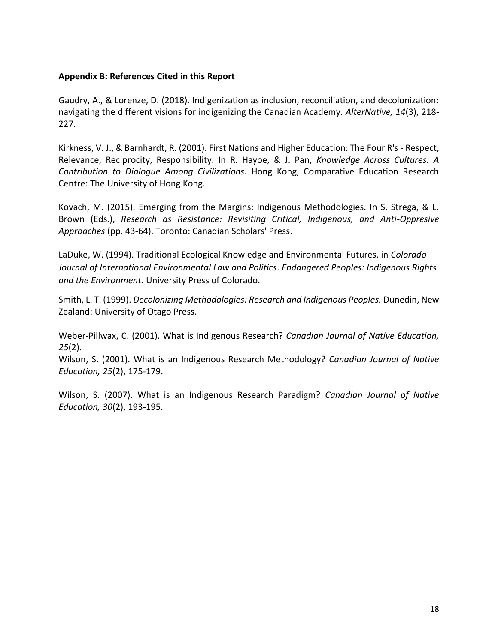#### **Appendix B: References Cited in this Report**

Gaudry, A., & Lorenze, D. (2018). Indigenization as inclusion, reconciliation, and decolonization: navigating the different visions for indigenizing the Canadian Academy. *AlterNative, 14*(3), 218- 227.

Kirkness, V. J., & Barnhardt, R. (2001). First Nations and Higher Education: The Four R's - Respect, Relevance, Reciprocity, Responsibility. In R. Hayoe, & J. Pan, *Knowledge Across Cultures: A Contribution to Dialogue Among Civilizations.* Hong Kong, Comparative Education Research Centre: The University of Hong Kong.

Kovach, M. (2015). Emerging from the Margins: Indigenous Methodologies. In S. Strega, & L. Brown (Eds.), *Research as Resistance: Revisiting Critical, Indigenous, and Anti-Oppresive Approaches* (pp. 43-64). Toronto: Canadian Scholars' Press.

LaDuke, W. (1994). Traditional Ecological Knowledge and Environmental Futures. in *Colorado Journal of International Environmental Law and Politics*. *Endangered Peoples: Indigenous Rights and the Environment.* University Press of Colorado.

Smith, L. T. (1999). *Decolonizing Methodologies: Research and Indigenous Peoples.* Dunedin, New Zealand: University of Otago Press.

Weber-Pillwax, C. (2001). What is Indigenous Research? *Canadian Journal of Native Education, 25*(2).

Wilson, S. (2001). What is an Indigenous Research Methodology? *Canadian Journal of Native Education, 25*(2), 175-179.

Wilson, S. (2007). What is an Indigenous Research Paradigm? *Canadian Journal of Native Education, 30*(2), 193-195.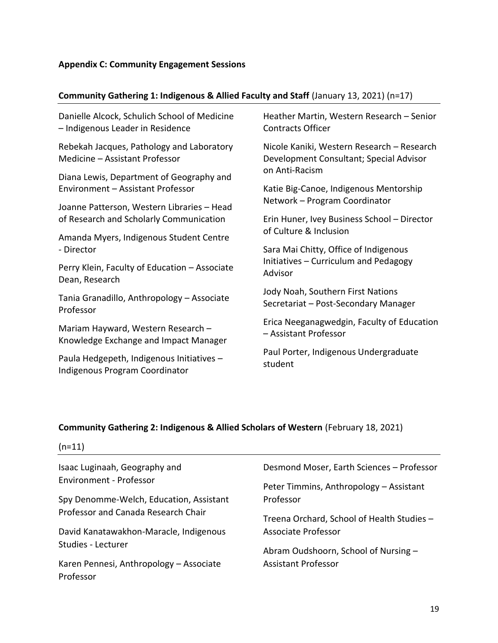# **Community Gathering 1: Indigenous & Allied Faculty and Staff** (January 13, 2021) (n=17)

| Danielle Alcock, Schulich School of Medicine<br>- Indigenous Leader in Residence | Heather Martin, Western Research - Senior<br><b>Contracts Officer</b>                                   |  |  |
|----------------------------------------------------------------------------------|---------------------------------------------------------------------------------------------------------|--|--|
| Rebekah Jacques, Pathology and Laboratory<br>Medicine - Assistant Professor      | Nicole Kaniki, Western Research - Research<br>Development Consultant; Special Advisor<br>on Anti-Racism |  |  |
| Diana Lewis, Department of Geography and                                         |                                                                                                         |  |  |
| Environment - Assistant Professor                                                | Katie Big-Canoe, Indigenous Mentorship                                                                  |  |  |
| Joanne Patterson, Western Libraries - Head                                       | Network - Program Coordinator                                                                           |  |  |
| of Research and Scholarly Communication                                          | Erin Huner, Ivey Business School - Director<br>of Culture & Inclusion                                   |  |  |
| Amanda Myers, Indigenous Student Centre                                          |                                                                                                         |  |  |
| - Director                                                                       | Sara Mai Chitty, Office of Indigenous<br>Initiatives - Curriculum and Pedagogy<br>Advisor               |  |  |
| Perry Klein, Faculty of Education - Associate<br>Dean, Research                  |                                                                                                         |  |  |
| Tania Granadillo, Anthropology - Associate<br>Professor                          | Jody Noah, Southern First Nations<br>Secretariat - Post-Secondary Manager                               |  |  |
| Mariam Hayward, Western Research -<br>Knowledge Exchange and Impact Manager      | Erica Neeganagwedgin, Faculty of Education<br>- Assistant Professor                                     |  |  |
| Paula Hedgepeth, Indigenous Initiatives -<br>Indigenous Program Coordinator      | Paul Porter, Indigenous Undergraduate<br>student                                                        |  |  |

# **Community Gathering 2: Indigenous & Allied Scholars of Western** (February 18, 2021)

| $(n=11)$                                             |                                            |
|------------------------------------------------------|--------------------------------------------|
| Isaac Luginaah, Geography and                        | Desmond Moser, Earth Sciences - Professor  |
| Environment - Professor                              | Peter Timmins, Anthropology - Assistant    |
| Spy Denomme-Welch, Education, Assistant              | Professor                                  |
| Professor and Canada Research Chair                  | Treena Orchard, School of Health Studies - |
| David Kanatawakhon-Maracle, Indigenous               | Associate Professor                        |
| Studies - Lecturer                                   | Abram Oudshoorn, School of Nursing -       |
| Karen Pennesi, Anthropology - Associate<br>Professor | <b>Assistant Professor</b>                 |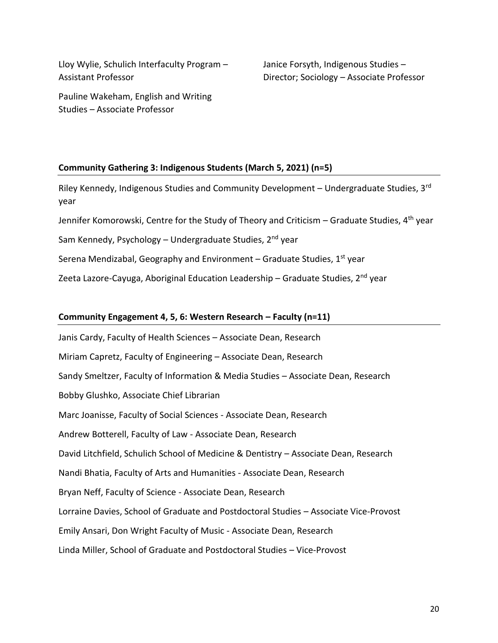Lloy Wylie, Schulich Interfaculty Program – Assistant Professor

Janice Forsyth, Indigenous Studies – Director; Sociology – Associate Professor

Pauline Wakeham, English and Writing Studies – Associate Professor

#### **Community Gathering 3: Indigenous Students (March 5, 2021) (n=5)**

Riley Kennedy, Indigenous Studies and Community Development – Undergraduate Studies,  $3<sup>rd</sup>$ year

Jennifer Komorowski, Centre for the Study of Theory and Criticism – Graduate Studies,  $4<sup>th</sup>$  year

Sam Kennedy, Psychology – Undergraduate Studies, 2<sup>nd</sup> year

Serena Mendizabal, Geography and Environment – Graduate Studies,  $1<sup>st</sup>$  year

Zeeta Lazore-Cayuga, Aboriginal Education Leadership – Graduate Studies,  $2<sup>nd</sup>$  year

#### **Community Engagement 4, 5, 6: Western Research – Faculty (n=11)**

Janis Cardy, Faculty of Health Sciences – Associate Dean, Research Miriam Capretz, Faculty of Engineering – Associate Dean, Research Sandy Smeltzer, Faculty of Information & Media Studies – Associate Dean, Research Bobby Glushko, Associate Chief Librarian Marc Joanisse, Faculty of Social Sciences - Associate Dean, Research Andrew Botterell, Faculty of Law - Associate Dean, Research David Litchfield, Schulich School of Medicine & Dentistry – Associate Dean, Research Nandi Bhatia, Faculty of Arts and Humanities - Associate Dean, Research Bryan Neff, Faculty of Science - Associate Dean, Research Lorraine Davies, School of Graduate and Postdoctoral Studies – Associate Vice-Provost Emily Ansari, Don Wright Faculty of Music - Associate Dean, Research Linda Miller, School of Graduate and Postdoctoral Studies – Vice-Provost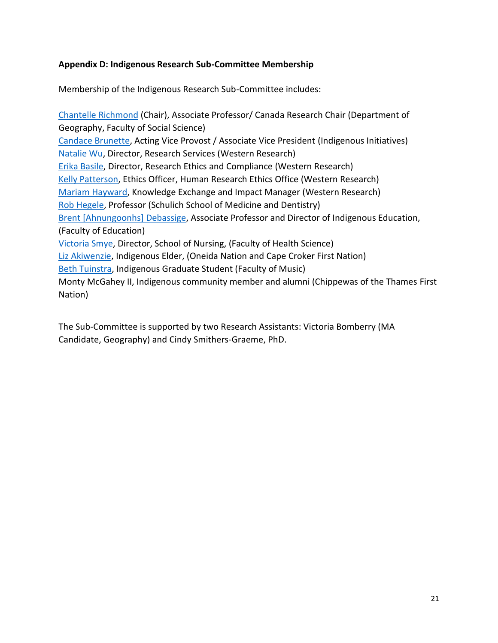## **Appendix D: Indigenous Research Sub-Committee Membership**

Membership of the Indigenous Research Sub-Committee includes:

[Chantelle Richmond](https://www.ssc.uwo.ca/research/canada_research_chairs/chantelle_richmond.html) (Chair), Associate Professor/ Canada Research Chair (Department of Geography, Faculty of Social Science) [Candace Brunette,](https://provost.uwo.ca/viceprovosts/c_brunette.html) Acting Vice Provost / Associate Vice President (Indigenous Initiatives) [Natalie Wu,](https://www.uwo.ca/research/about/directory/index.html) Director, Research Services (Western Research) [Erika Basile,](https://www.uwo.ca/research/about/directory/index.html) Director, Research Ethics and Compliance (Western Research) [Kelly Patterson,](https://www.uwo.ca/research/about/directory/index.html) Ethics Officer, Human Research Ethics Office (Western Research) [Mariam Hayward,](https://www.uwo.ca/research/about/directory/index.html) Knowledge Exchange and Impact Manager (Western Research) [Rob Hegele,](https://www.schulich.uwo.ca/about/news/2015/may/dr_rob_hegele_reappointed_to_the_position_of_the_jacob_j_wolfe_distinguished_medical_research_chair_in_human_gene_function.html) Professor (Schulich School of Medicine and Dentistry) [Brent \[Ahnungoonhs\] Debassige,](https://www.edu.uwo.ca/faculty-profiles/brent-debassige.html) Associate Professor and Director of Indigenous Education, (Faculty of Education) [Victoria Smye,](https://www.uwo.ca/fhs/nursing/about/faculty/research_supervisors/smye_v.html) Director, School of Nursing, (Faculty of Health Science) [Liz Akiwenzie,](https://www.kings.uwo.ca/about-kings/visitor-info/calendar-of-events/indigenous-knowledge-keeper3/) Indigenous Elder, (Oneida Nation and Cape Croker First Nation) [Beth Tuinstra,](https://music.uwo.ca/graduate/doctoral-students/music_education_listing.html) Indigenous Graduate Student (Faculty of Music) Monty McGahey II, Indigenous community member and alumni (Chippewas of the Thames First Nation)

The Sub-Committee is supported by two Research Assistants: Victoria Bomberry (MA Candidate, Geography) and Cindy Smithers-Graeme, PhD.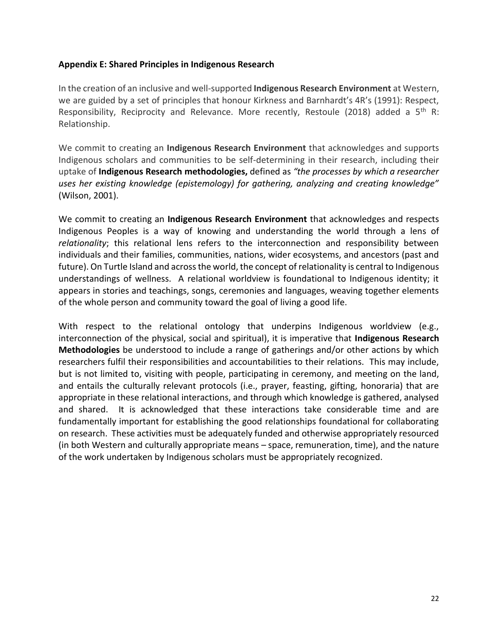#### **Appendix E: Shared Principles in Indigenous Research**

In the creation of an inclusive and well-supported **Indigenous Research Environment** at Western, we are guided by a set of principles that honour Kirkness and Barnhardt's 4R's (1991): Respect, Responsibility, Reciprocity and Relevance. More recently, Restoule (2018) added a  $5<sup>th</sup>$  R: Relationship.

We commit to creating an **Indigenous Research Environment** that acknowledges and supports Indigenous scholars and communities to be self-determining in their research, including their uptake of **Indigenous Research methodologies,** defined as *"the processes by which a researcher uses her existing knowledge (epistemology) for gathering, analyzing and creating knowledge"*  (Wilson, 2001).

We commit to creating an **Indigenous Research Environment** that acknowledges and respects Indigenous Peoples is a way of knowing and understanding the world through a lens of *relationality*; this relational lens refers to the interconnection and responsibility between individuals and their families, communities, nations, wider ecosystems, and ancestors (past and future). On Turtle Island and across the world, the concept of relationality is central to Indigenous understandings of wellness. A relational worldview is foundational to Indigenous identity; it appears in stories and teachings, songs, ceremonies and languages, weaving together elements of the whole person and community toward the goal of living a good life.

With respect to the relational ontology that underpins Indigenous worldview (e.g., interconnection of the physical, social and spiritual), it is imperative that **Indigenous Research Methodologies** be understood to include a range of gatherings and/or other actions by which researchers fulfil their responsibilities and accountabilities to their relations. This may include, but is not limited to, visiting with people, participating in ceremony, and meeting on the land, and entails the culturally relevant protocols (i.e., prayer, feasting, gifting, honoraria) that are appropriate in these relational interactions, and through which knowledge is gathered, analysed and shared. It is acknowledged that these interactions take considerable time and are fundamentally important for establishing the good relationships foundational for collaborating on research. These activities must be adequately funded and otherwise appropriately resourced (in both Western and culturally appropriate means – space, remuneration, time), and the nature of the work undertaken by Indigenous scholars must be appropriately recognized.